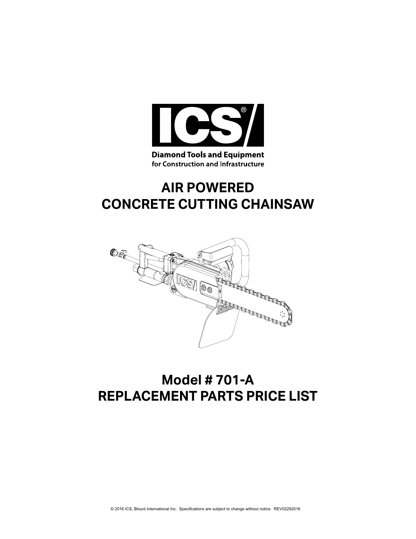

# **AIR POWERED CONCRETE CUTTING CHAINSAW**



# **Model # 701-A REPLACEMENT PARTS PRICE LIST**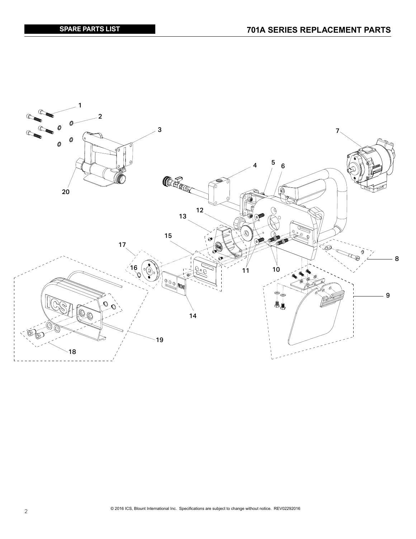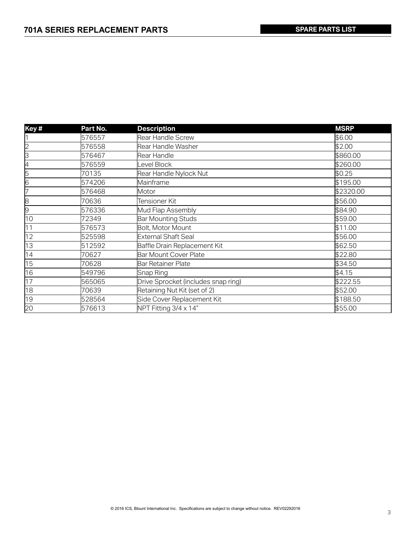| Key#           | Part No. | <b>Description</b>                  | <b>MSRP</b> |
|----------------|----------|-------------------------------------|-------------|
|                | 576557   | <b>Rear Handle Screw</b>            | \$6.00      |
| $\overline{c}$ | 576558   | <b>Rear Handle Washer</b>           | \$2.00      |
| З              | 576467   | Rear Handle                         | \$860.00    |
| 4              | 576559   | evel Block                          | \$260.00    |
| 5              | 70135    | Rear Handle Nylock Nut              | \$0.25      |
| 6              | 574206   | Mainframe                           | \$195.00    |
| 7              | 576468   | Motor                               | \$2320.00   |
| 8              | 70636    | Tensioner Kit                       | \$56.00     |
| 9              | 576336   | Mud Flap Assembly                   | \$84.90     |
| 10             | 72349    | <b>Bar Mounting Studs</b>           | \$59.00     |
| 11             | 576573   | <b>Bolt, Motor Mount</b>            | \$11.00     |
| 12             | 525598   | <b>External Shaft Seal</b>          | \$56.00     |
| 13             | 512592   | Baffle Drain Replacement Kit        | \$62.50     |
| 14             | 70627    | <b>Bar Mount Cover Plate</b>        | \$22.80     |
| 15             | 70628    | <b>Bar Retainer Plate</b>           | \$34.50     |
| 16             | 549796   | Snap Ring                           | \$4.15      |
| 17             | 565065   | Drive Sprocket (includes snap ring) | \$222.55    |
| 18             | 70639    | Retaining Nut Kit (set of 2)        | \$52.00     |
| 19             | 528564   | Side Cover Replacement Kit          | \$188.50    |
| 20             | 576613   | NPT Fitting 3/4 x 14"               | \$55.00     |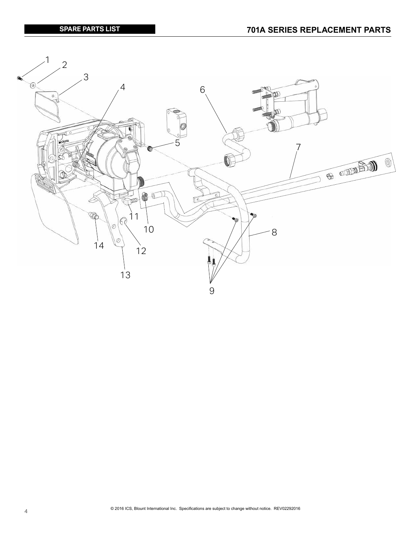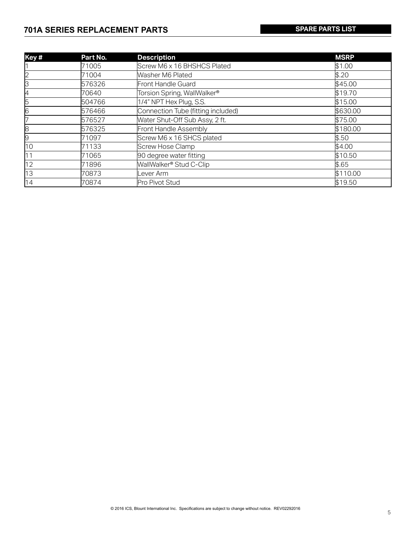### **701A SERIES REPLACEMENT PARTS SPARE PARTS LIST**

| Key# | Part No. | <b>Description</b>                      | <b>MSRP</b> |
|------|----------|-----------------------------------------|-------------|
|      | 71005    | Screw M6 x 16 BHSHCS Plated             | \$1.00      |
| 2    | 71004    | Washer M6 Plated                        | \$.20       |
| lЗ   | 576326   | Front Handle Guard                      | \$45.00     |
| 4    | 70640    | Torsion Spring, WallWalker <sup>®</sup> | \$19.70     |
| 5    | 504766   | 1/4" NPT Hex Plug, S.S.                 | \$15.00     |
| 6    | 576466   | Connection Tube (fitting included)      | \$630.00    |
| 7    | 576527   | Water Shut-Off Sub Assy, 2 ft.          | \$75.00     |
| 8    | 576325   | Front Handle Assembly                   | \$180.00    |
| 9    | 71097    | Screw M6 x 16 SHCS plated               | \$.50       |
| 10   | 71133    | Screw Hose Clamp                        | \$4.00      |
| 11   | 71065    | 90 degree water fitting                 | \$10.50     |
| 12   | 71896    | WallWalker® Stud C-Clip                 | \$.65       |
| 13   | 70873    | ever Arm                                | \$110.00    |
| 14   | 70874    | Pro Pivot Stud                          | \$19.50     |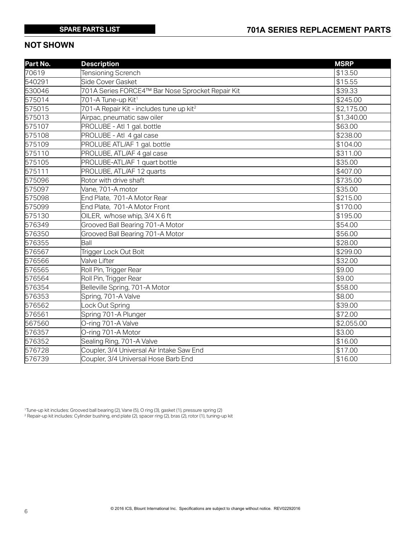#### **NOT SHOWN**

| Part No. | <b>Description</b>                                   | <b>MSRP</b> |
|----------|------------------------------------------------------|-------------|
| 70619    | Tensioning Scrench                                   | \$13.50     |
| 540291   | Side Cover Gasket                                    | \$15.55     |
| 530046   | 701A Series FORCE4™ Bar Nose Sprocket Repair Kit     | \$39.33     |
| 575014   | 701-A Tune-up Kit <sup>1</sup>                       | \$245.00    |
| 575015   | 701-A Repair Kit - includes tune up kit <sup>2</sup> | \$2,175.00  |
| 575013   | Airpac, pneumatic saw oiler                          | \$1,340.00  |
| 575107   | PROLUBE - Atl 1 gal. bottle                          | \$63.00     |
| 575108   | PROLUBE - Atl 4 gal case                             | \$238.00    |
| 575109   | PROLUBE ATL/AF 1 gal. bottle                         | \$104.00    |
| 575110   | PROLUBE, ATL/AF 4 gal case                           | \$311.00    |
| 575105   | PROLUBE-ATL/AF 1 quart bottle                        | 335.00      |
| 575111   | PROLUBE, ATL/AF 12 quarts                            | \$407.00    |
| 575096   | Rotor with drive shaft                               | \$735.00    |
| 575097   | Vane, 701-A motor                                    | \$35.00     |
| 575098   | End Plate, 701-A Motor Rear                          | \$215.00    |
| 575099   | End Plate, 701-A Motor Front                         | \$170.00    |
| 575130   | OILER, w/hose whip, 3/4 X 6 ft                       | \$195.00    |
| 576349   | Grooved Ball Bearing 701-A Motor                     | \$54.00     |
| 576350   | Grooved Ball Bearing 701-A Motor                     | \$56.00     |
| 576355   | Ball                                                 | \$28.00     |
| 576567   | Trigger Lock Out Bolt                                | \$299.00    |
| 576566   | Valve Lifter                                         | \$32.00     |
| 576565   | Roll Pin, Trigger Rear                               | \$9.00      |
| 576564   | Roll Pin, Trigger Rear                               | \$9.00      |
| 576354   | Belleville Spring, 701-A Motor                       | \$58.00     |
| 576353   | Spring, 701-A Valve                                  | \$8.00      |
| 576562   | Lock Out Spring                                      | \$39.00     |
| 576561   | Spring 701-A Plunger                                 | \$72.00     |
| 567560   | O-ring 701-A Valve                                   | \$2,055.00  |
| 576357   | O-ring 701-A Motor                                   | \$3.00      |
| 576352   | Sealing Ring, 701-A Valve                            | \$16.00     |
| 576728   | Coupler, 3/4 Universal Air Intake Saw End            | \$17.00     |
| 576739   | Coupler, 3/4 Universal Hose Barb End                 | \$16.00     |

Tune-up kit includes: Grooved ball bearing (2), Vane (5), O ring (3), gasket (1), pressure spring (2)

 $^2$  Repair-up kit includes: Cylinder bushing, end plate (2), spacer ring (2), bras (2), rotor (1), tuning-up kit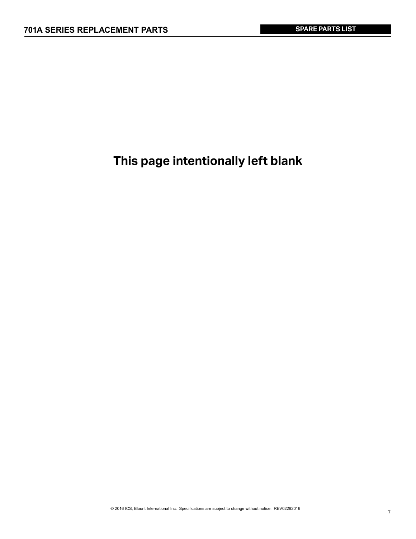### **This page intentionally left blank**